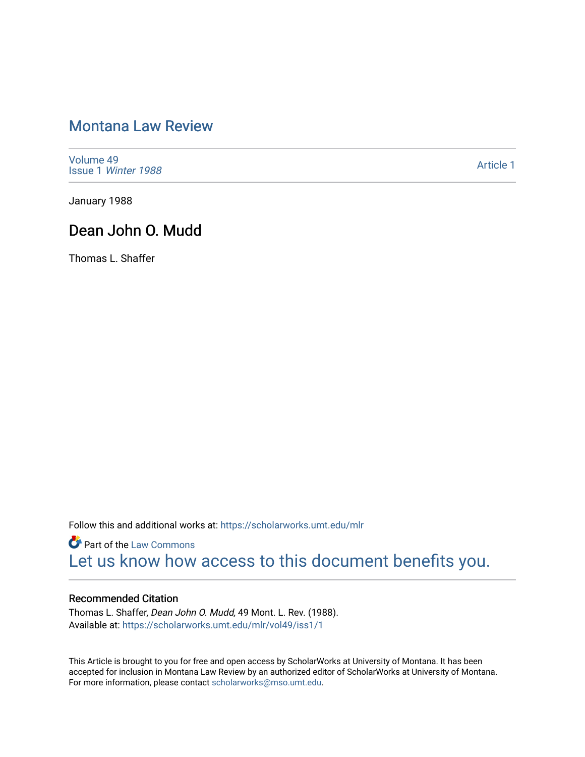# [Montana Law Review](https://scholarworks.umt.edu/mlr)

[Volume 49](https://scholarworks.umt.edu/mlr/vol49) Issue 1 [Winter 1988](https://scholarworks.umt.edu/mlr/vol49/iss1) 

[Article 1](https://scholarworks.umt.edu/mlr/vol49/iss1/1) 

January 1988

## Dean John O. Mudd

Thomas L. Shaffer

Follow this and additional works at: [https://scholarworks.umt.edu/mlr](https://scholarworks.umt.edu/mlr?utm_source=scholarworks.umt.edu%2Fmlr%2Fvol49%2Fiss1%2F1&utm_medium=PDF&utm_campaign=PDFCoverPages) 

**Part of the [Law Commons](http://network.bepress.com/hgg/discipline/578?utm_source=scholarworks.umt.edu%2Fmlr%2Fvol49%2Fiss1%2F1&utm_medium=PDF&utm_campaign=PDFCoverPages)** [Let us know how access to this document benefits you.](https://goo.gl/forms/s2rGfXOLzz71qgsB2) 

#### Recommended Citation

Thomas L. Shaffer, Dean John O. Mudd, 49 Mont. L. Rev. (1988). Available at: [https://scholarworks.umt.edu/mlr/vol49/iss1/1](https://scholarworks.umt.edu/mlr/vol49/iss1/1?utm_source=scholarworks.umt.edu%2Fmlr%2Fvol49%2Fiss1%2F1&utm_medium=PDF&utm_campaign=PDFCoverPages) 

This Article is brought to you for free and open access by ScholarWorks at University of Montana. It has been accepted for inclusion in Montana Law Review by an authorized editor of ScholarWorks at University of Montana. For more information, please contact [scholarworks@mso.umt.edu.](mailto:scholarworks@mso.umt.edu)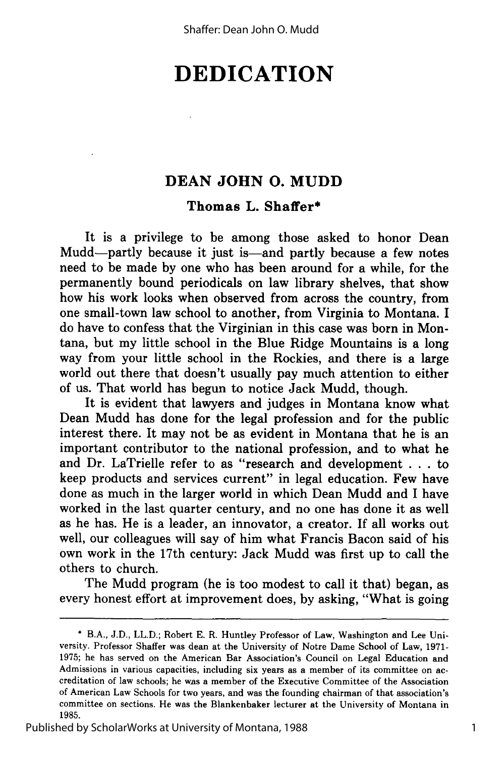# **DEDICATION**

## **DEAN JOHN 0. MUDD**

### **Thomas L. Shaffer\***

It is a privilege to be among those asked to honor Dean Mudd—partly because it just is—and partly because a few notes need to be made **by** one who has been around for a while, for the permanently bound periodicals on law library shelves, that show how his work looks when observed from across the country, from one small-town law school to another, from Virginia to Montana. I do have to confess that the Virginian in this case was born in Montana, but my little school in the Blue Ridge Mountains is a long way from your little school in the Rockies, and there is a large world out there that doesn't usually pay much attention to either of us. That world has begun to notice Jack Mudd, though.

It is evident that lawyers and judges in Montana know what Dean Mudd has done for the legal profession and for the public interest there. It may not be as evident in Montana that he is an important contributor to the national profession, and to what he and Dr. LaTrielle refer to as "research and development **.. .**to keep products and services current" in legal education. Few have done as much in the larger world in which Dean Mudd and **I** have worked in the last quarter century, and no one has done it as well as he has. He is a leader, an innovator, a creator. If **all** works out well, our colleagues will say of him what Francis Bacon said of his own work in the 17th century: Jack Mudd was first up to call the others to church.

The Mudd program (he is too modest to call it that) began, as every honest effort at improvement does, **by** asking, "What is going

**<sup>\*</sup>** B.A., J.D., LL.D.; Robert **E.** R. Huntley Professor of Law, Washington and Lee University. Professor Shaffer was dean at the University of Notre Dame School of Law, 1971- 1975; he has served on the American Bar Association's Council on Legal Education and Admissions in various capacities, including six years as a member of its committee on accreditation of law schools; he was a member of the Executive Committee of the Association of American Law Schools for two years, and was the founding chairman of that association's committee on sections. He was the Blankenbaker lecturer at the University of Montana in 1985.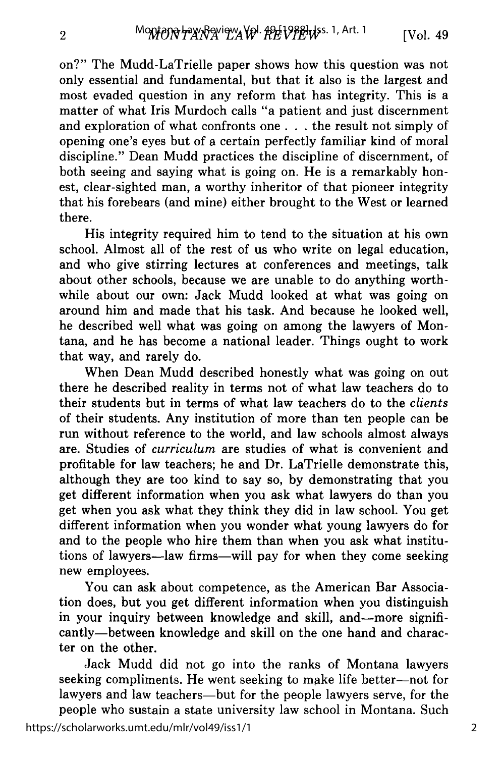on?" The Mudd-LaTrielle paper shows how this question was not only essential and fundamental, but that it also is the largest and most evaded question in any reform that has integrity. This is a matter of what Iris Murdoch calls "a patient and just discernment and exploration of what confronts one. **. .** the result not simply of opening one's eyes but of a certain perfectly familiar kind of moral discipline." Dean Mudd practices the discipline of discernment, of both seeing and saying what is going on. He is a remarkably honest, clear-sighted man, a worthy inheritor of that pioneer integrity that his forebears (and mine) either brought to the West or learned there.

His integrity required him to tend to the situation at his own school. Almost all of the rest of us who write on legal education, and who give stirring lectures at conferences and meetings, talk about other schools, because we are unable to do anything worthwhile about our own: Jack Mudd looked at what was going on around him and made that his task. And because he looked well, he described well what was going on among the lawyers of Montana, and he has become a national leader. Things ought to work that way, and rarely do.

When Dean Mudd described honestly what was going on out there he described reality in terms not of what law teachers do to their students but in terms of what law teachers do to the *clients* of their students. Any institution of more than ten people can be run without reference to the world, and law schools almost always are. Studies of *curriculum* are studies of what is convenient and profitable for law teachers; he and Dr. LaTrielle demonstrate this, although they are too kind to say so, by demonstrating that you get different information when you ask what lawyers do than you get when you ask what they think they did in law school. You get different information when you wonder what young lawyers do for and to the people who hire them than when you ask what institutions of lawyers-law firms-will pay for when they come seeking new employees.

You can ask about competence, as the American Bar Association does, but you get different information when you distinguish in your inquiry between knowledge and skill, and-more significantly-between knowledge and skill on the one hand and character on the other.

Jack Mudd did not go into the ranks of Montana lawyers seeking compliments. He went seeking to make life better--not for lawyers and law teachers—but for the people lawyers serve, for the people who sustain a state university law school in Montana. Such

 $\overline{2}$ 

2